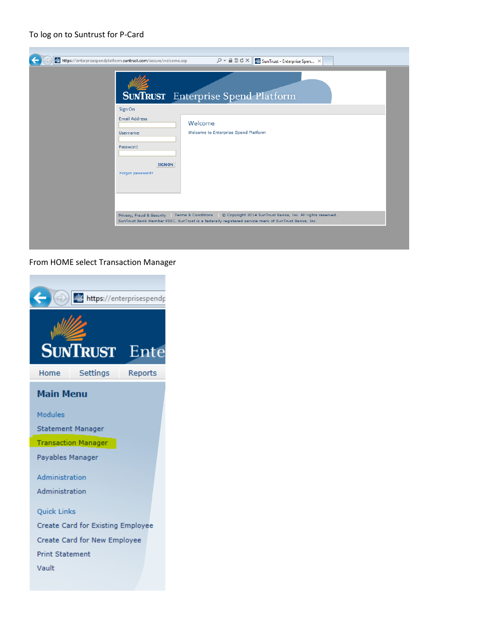## To log on to Suntrust for P-Card

| https://enterprisespendplatform.suntrust.com/secure/welcome.asp<br>$\mathcal{P}$ $\sim$ $\mathbf{A} \boxtimes \mathbf{C} \times \mathbf{X}$ SunTrust - Enterprise Spen $\mathbf{X}$<br><b>SUNTRUST</b> Enterprise Spend Platform |
|----------------------------------------------------------------------------------------------------------------------------------------------------------------------------------------------------------------------------------|
| Sign On<br><b>Email Address</b><br>Welcome<br>Welcome to Enterprise Spend Platform<br>Username<br>Password<br><b>SIGN ON</b><br>Forgot password?                                                                                 |
| C Copyright 2014 SunTrust Banks, Inc. All rights reserved.<br>Privacy, Fraud & Security Terms & Conditions<br>SunTrust Bank Member FDIC. SunTrust is a federally registered service mark of SunTrust Banks, Inc.                 |

## From HOME select Transaction Manager

|                        |                                   | https://enterprisespendp |
|------------------------|-----------------------------------|--------------------------|
|                        | <b>SUNTRUST</b>                   | Ente                     |
| Home                   | Settings                          | Reports                  |
| <b>Main Menu</b>       |                                   |                          |
| Modules                |                                   |                          |
|                        | Statement Manager                 |                          |
|                        | <b>Transaction Manager</b>        |                          |
| Payables Manager       |                                   |                          |
| Administration         |                                   |                          |
| Administration         |                                   |                          |
| Quick Links            |                                   |                          |
|                        | Create Card for Existing Employee |                          |
|                        | Create Card for New Employee      |                          |
| <b>Print Statement</b> |                                   |                          |
| Vault                  |                                   |                          |
|                        |                                   |                          |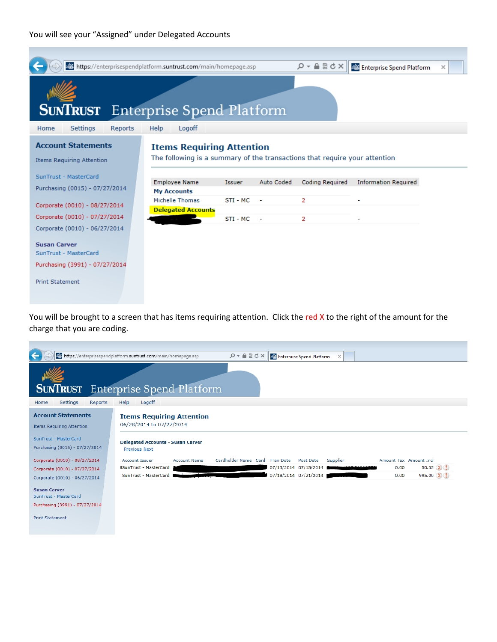## You will see your "Assigned" under Delegated Accounts



You will be brought to a screen that has items requiring attention. Click the red X to the right of the amount for the charge that you are coding.

|                                                                                | https://enterprisespendplatform.suntrust.com/main/homepage.asp<br>$Q - \triangle$ $\triangle$ $\triangle$ $\triangle$ $\times$<br>Enterprise Spend Platform<br>$\times$ |
|--------------------------------------------------------------------------------|-------------------------------------------------------------------------------------------------------------------------------------------------------------------------|
|                                                                                |                                                                                                                                                                         |
|                                                                                | <b>SUNTRUST</b> Enterprise Spend Platform                                                                                                                               |
| <b>Settings</b><br><b>Reports</b><br>Home                                      | Help<br>Logoff                                                                                                                                                          |
| <b>Account Statements</b><br><b>Items Requiring Attention</b>                  | <b>Items Requiring Attention</b><br>06/28/2014 to 07/27/2014                                                                                                            |
| SunTrust - MasterCard<br>Purchasing (0015) - 07/27/2014                        | <b>Delegated Accounts - Susan Carver</b><br><b>Previous Next</b>                                                                                                        |
| Corporate (0010) - 08/27/2014                                                  | <b>Account Issuer</b><br>Cardholder Name Card Tran Date<br>Amount Tax Amount Incl<br><b>Account Name</b><br>Post Date<br>Supplier                                       |
| Corporate (0010) - 07/27/2014                                                  | 50.35 $(X)$<br>07/13/2014 07/15/2014<br><b>ISunTrust - MasterCard</b><br>0.00                                                                                           |
| Corporate (0010) - 06/27/2014                                                  | 07/18/2014 07/21/2014<br>995.00 (X) (!)<br>SunTrust - MasterCard<br>0.00                                                                                                |
| <b>Susan Carver</b><br>SunTrust - MasterCard<br>Purchasing (3991) - 07/27/2014 |                                                                                                                                                                         |
| <b>Print Statement</b>                                                         |                                                                                                                                                                         |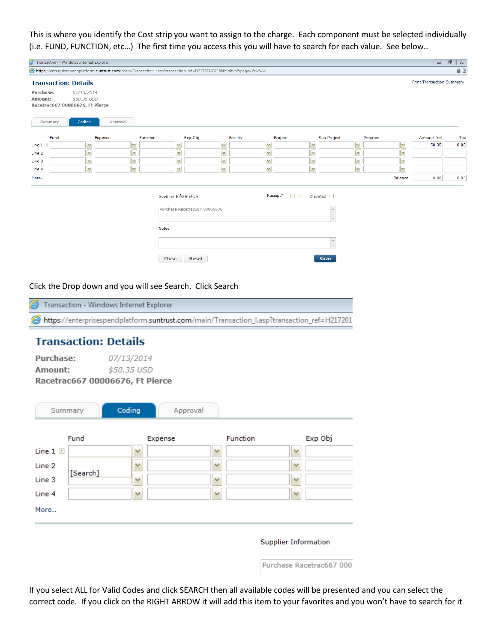This is where you identify the Cost strip you want to assign to the charge. Each component must be selected individually (i.e. FUND, FUNCTION, etc…) The first time you access this you will have to search for each value. See below..

|                             | Transaction - Windows Internet Explorer                      |                         |                         |          |                         |                                                       |              |                                                                                                                      |          |                      |                                           |         |         | $\qquad \qquad \Box$             | $\mathbb{G}^1$<br>$\Sigma\!3$ |
|-----------------------------|--------------------------------------------------------------|-------------------------|-------------------------|----------|-------------------------|-------------------------------------------------------|--------------|----------------------------------------------------------------------------------------------------------------------|----------|----------------------|-------------------------------------------|---------|---------|----------------------------------|-------------------------------|
|                             |                                                              |                         |                         |          |                         |                                                       |              | https://enterprisespendplatform.suntrust.com/main/Transaction_I.asp?transaction_ref=H21720140716kibihltvb&paqe=&wf=w |          |                      |                                           |         |         |                                  | $A \nvert R$                  |
|                             | <b>Transaction: Details</b>                                  |                         |                         |          |                         |                                                       |              |                                                                                                                      |          |                      |                                           |         |         | <b>Print Transaction Summary</b> |                               |
| <b>Purchase:</b><br>Amount: | 07/13/2014<br>\$50.35 USD<br>Racetrac667 00006676, Ft Pierce |                         |                         |          |                         |                                                       |              |                                                                                                                      |          |                      |                                           |         |         |                                  |                               |
| Summary                     | Coding                                                       | Approval                |                         |          |                         |                                                       |              |                                                                                                                      |          |                      |                                           |         |         |                                  |                               |
| Fund                        |                                                              | Expense                 |                         | Function |                         | Exp Obj                                               |              | Facility                                                                                                             | Project  |                      | Sub Project                               | Program |         | Amount Incl                      | Tax                           |
| Line $1 \boxplus$           |                                                              | $\checkmark$            | $\vee$                  |          | $\overline{\mathbf{v}}$ |                                                       | M            | M                                                                                                                    |          | $\mathbf{v}$         | $\checkmark$                              |         | ×       | 50.35                            | 0.00                          |
| Line 2                      | M                                                            |                         | $\mathbf{\mathsf{v}}$   |          | $\checkmark$            |                                                       | M            | $\vee$                                                                                                               |          | $\boldsymbol{\vee}$  | M                                         |         | M       |                                  |                               |
| Line 3                      |                                                              | $\checkmark$            | $\checkmark$            |          | M                       |                                                       | M            | $\overline{\mathsf{v}}$                                                                                              |          | $\checkmark$         | $\sim$                                    |         | Y       |                                  |                               |
| Line 4                      |                                                              | $\overline{\mathsf{v}}$ | $\overline{\mathsf{v}}$ |          | $\overline{\mathbf{v}}$ |                                                       | $\checkmark$ | M                                                                                                                    |          | $\blacktriangledown$ | $\blacktriangledown$                      |         | M       |                                  |                               |
| More                        |                                                              |                         |                         |          |                         |                                                       |              |                                                                                                                      |          |                      |                                           |         | Balance | 0.00                             | 0.00                          |
|                             |                                                              |                         |                         | Notes    |                         | Supplier Information<br>Purchase Racetrac667 00006676 |              |                                                                                                                      | Receipt? | ⊽<br>$\mathbb{X}$    | Disputed<br>A.<br>$\overline{\nabla}$     |         |         |                                  |                               |
|                             |                                                              |                         |                         |          |                         |                                                       |              |                                                                                                                      |          |                      | $\hat{\overline{\phantom{a}}\phantom{a}}$ |         |         |                                  |                               |

Click the Drop down and you will see Search. Click Search

| Transaction - Windows Internet Explorer                                                     |
|---------------------------------------------------------------------------------------------|
| https://enterprisespendplatform.suntrust.com/main/Transaction_l.asp?transaction_ref=H217201 |

Close Reset

## **Transaction: Details**

| <b>Purchase:</b> | 07/13/2014                      |
|------------------|---------------------------------|
| Amount:          | \$50.35 USD                     |
|                  | Racetrac667 00006676, Ft Pierce |

| Summary             | Coding<br>Approval |                 |                      |
|---------------------|--------------------|-----------------|----------------------|
| Fund                | Expense            | <b>Function</b> | Exp Obj              |
| Line $1 \n\boxplus$ | v                  | v               | $\checkmark$         |
| Line 2              | v                  | v               | v                    |
| [Search]<br>Line 3  | v                  | v               | v                    |
| Line 4              | v                  | v               | v                    |
| More                |                    |                 |                      |
|                     |                    |                 |                      |
|                     |                    |                 | Supplier Information |

Purchase Racetrac667 000

 $Save$ 

If you select ALL for Valid Codes and click SEARCH then all available codes will be presented and you can select the correct code. If you click on the RIGHT ARROW it will add this item to your favorites and you won't have to search for it